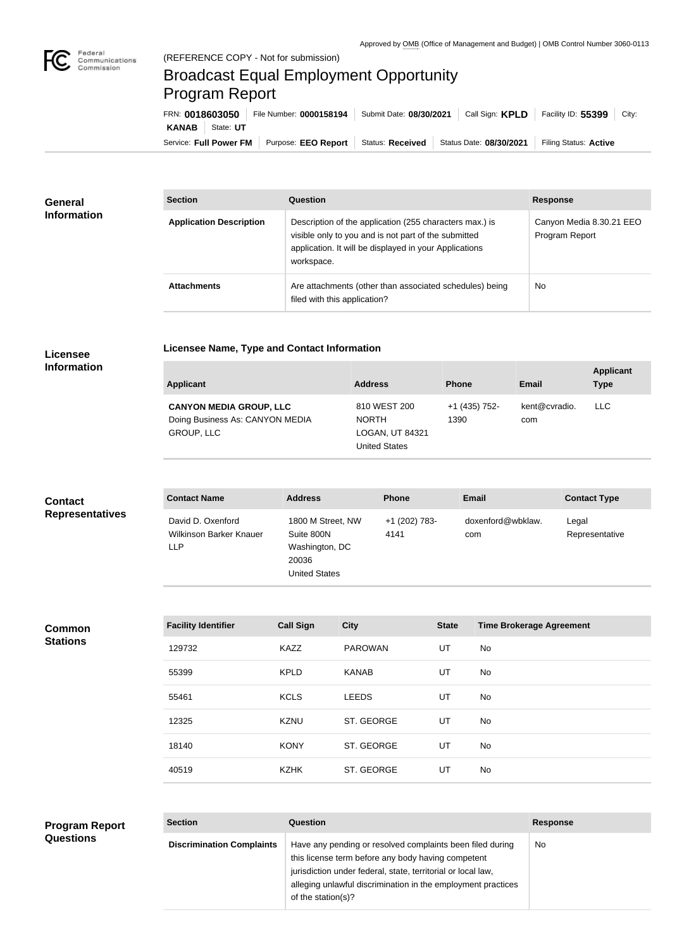

## Broadcast Equal Employment Opportunity Program Report

**Licensee Name, Type and Contact Information**

Service: Full Power FM Purpose: EEO Report | Status: Received | Status Date: 08/30/2021 | Filing Status: Active **KANAB** State: **UT** FRN: **0018603050** File Number: **0000158194** Submit Date: **08/30/2021** Call Sign: **KPLD** Facility ID: **55399** City:

| General<br><b>Information</b> | <b>Section</b>                 | Question                                                                                                                                                                                | <b>Response</b>                            |
|-------------------------------|--------------------------------|-----------------------------------------------------------------------------------------------------------------------------------------------------------------------------------------|--------------------------------------------|
|                               | <b>Application Description</b> | Description of the application (255 characters max.) is<br>visible only to you and is not part of the submitted<br>application. It will be displayed in your Applications<br>workspace. | Canyon Media 8.30.21 EEO<br>Program Report |
|                               | <b>Attachments</b>             | Are attachments (other than associated schedules) being<br>filed with this application?                                                                                                 | <b>No</b>                                  |

## **Licensee Information**

| <b>Applicant</b>                                                                       | <b>Address</b>                                                          | <b>Phone</b>          | Email                | <b>Applicant</b><br>Type |
|----------------------------------------------------------------------------------------|-------------------------------------------------------------------------|-----------------------|----------------------|--------------------------|
| <b>CANYON MEDIA GROUP, LLC</b><br>Doing Business As: CANYON MEDIA<br><b>GROUP, LLC</b> | 810 WEST 200<br><b>NORTH</b><br>LOGAN, UT 84321<br><b>United States</b> | +1 (435) 752-<br>1390 | kent@cvradio.<br>com | <b>LLC</b>               |

| <b>Contact</b>         | <b>Contact Name</b>                                        | <b>Address</b>                                                                     | <b>Phone</b>          | <b>Email</b>             | <b>Contact Type</b>     |
|------------------------|------------------------------------------------------------|------------------------------------------------------------------------------------|-----------------------|--------------------------|-------------------------|
| <b>Representatives</b> | David D. Oxenford<br>Wilkinson Barker Knauer<br><b>LLP</b> | 1800 M Street, NW<br>Suite 800N<br>Washington, DC<br>20036<br><b>United States</b> | +1 (202) 783-<br>4141 | doxenford@wbklaw.<br>com | Legal<br>Representative |

**Common Stations**

| <b>Facility Identifier</b> | <b>Call Sign</b> | <b>City</b>    | <b>State</b> | <b>Time Brokerage Agreement</b> |
|----------------------------|------------------|----------------|--------------|---------------------------------|
| 129732                     | <b>KAZZ</b>      | <b>PAROWAN</b> | UT           | No                              |
| 55399                      | <b>KPLD</b>      | <b>KANAB</b>   | UT           | No                              |
| 55461                      | <b>KCLS</b>      | <b>LEEDS</b>   | UT           | No                              |
| 12325                      | <b>KZNU</b>      | ST. GEORGE     | UT           | No                              |
| 18140                      | <b>KONY</b>      | ST. GEORGE     | UT           | No                              |
| 40519                      | <b>KZHK</b>      | ST. GEORGE     | UT           | No                              |
|                            |                  |                |              |                                 |

| <b>Program Report</b> | <b>Section</b>                   | <b>Question</b>                                                                                                                                                                                                                                                       | <b>Response</b> |
|-----------------------|----------------------------------|-----------------------------------------------------------------------------------------------------------------------------------------------------------------------------------------------------------------------------------------------------------------------|-----------------|
| <b>Questions</b>      | <b>Discrimination Complaints</b> | Have any pending or resolved complaints been filed during<br>this license term before any body having competent<br>jurisdiction under federal, state, territorial or local law,<br>alleging unlawful discrimination in the employment practices<br>of the station(s)? | No              |